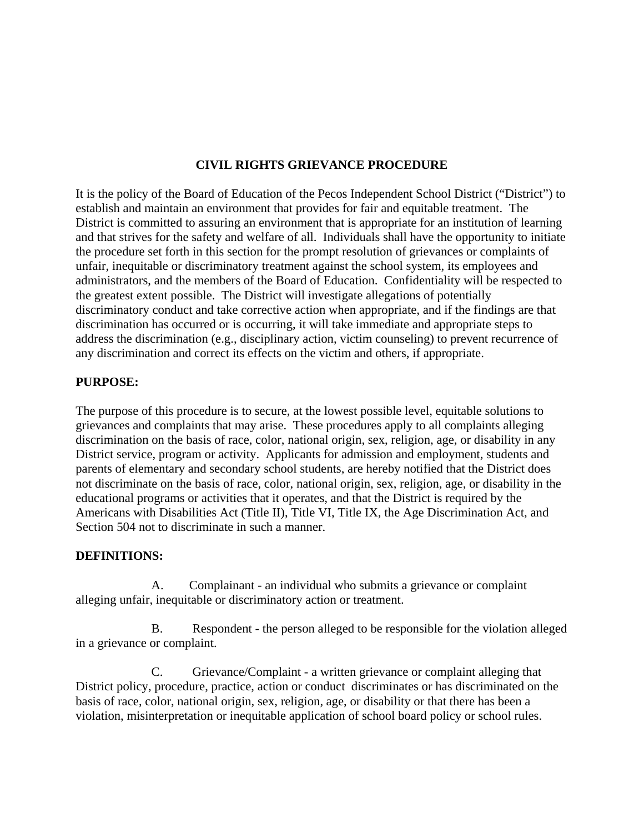#### **CIVIL RIGHTS GRIEVANCE PROCEDURE**

It is the policy of the Board of Education of the Pecos Independent School District ("District") to establish and maintain an environment that provides for fair and equitable treatment. The District is committed to assuring an environment that is appropriate for an institution of learning and that strives for the safety and welfare of all. Individuals shall have the opportunity to initiate the procedure set forth in this section for the prompt resolution of grievances or complaints of unfair, inequitable or discriminatory treatment against the school system, its employees and administrators, and the members of the Board of Education. Confidentiality will be respected to the greatest extent possible. The District will investigate allegations of potentially discriminatory conduct and take corrective action when appropriate, and if the findings are that discrimination has occurred or is occurring, it will take immediate and appropriate steps to address the discrimination (e.g., disciplinary action, victim counseling) to prevent recurrence of any discrimination and correct its effects on the victim and others, if appropriate.

#### **PURPOSE:**

The purpose of this procedure is to secure, at the lowest possible level, equitable solutions to grievances and complaints that may arise. These procedures apply to all complaints alleging discrimination on the basis of race, color, national origin, sex, religion, age, or disability in any District service, program or activity. Applicants for admission and employment, students and parents of elementary and secondary school students, are hereby notified that the District does not discriminate on the basis of race, color, national origin, sex, religion, age, or disability in the educational programs or activities that it operates, and that the District is required by the Americans with Disabilities Act (Title II), Title VI, Title IX, the Age Discrimination Act, and Section 504 not to discriminate in such a manner.

#### **DEFINITIONS:**

 A. Complainant - an individual who submits a grievance or complaint alleging unfair, inequitable or discriminatory action or treatment.

 B. Respondent - the person alleged to be responsible for the violation alleged in a grievance or complaint.

 C. Grievance/Complaint - a written grievance or complaint alleging that District policy, procedure, practice, action or conduct discriminates or has discriminated on the basis of race, color, national origin, sex, religion, age, or disability or that there has been a violation, misinterpretation or inequitable application of school board policy or school rules.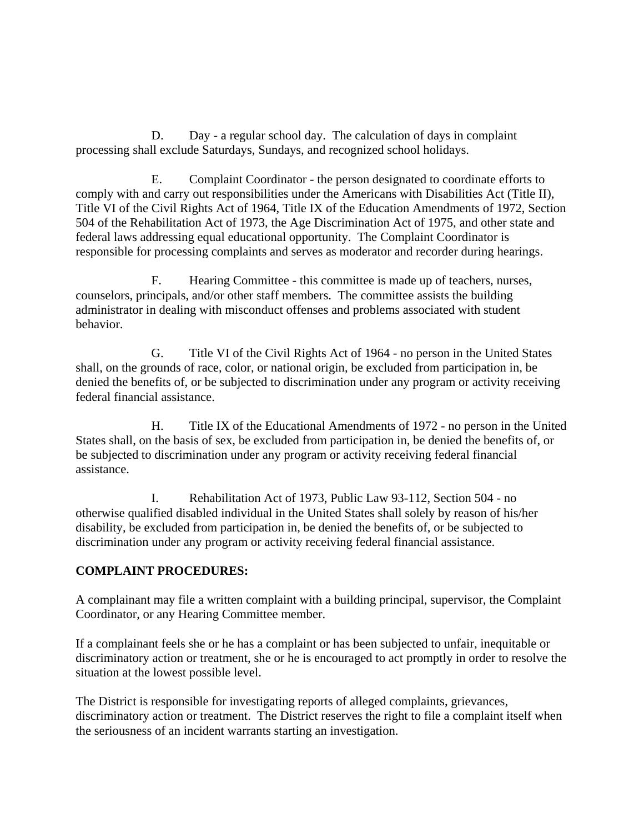D. Day - a regular school day. The calculation of days in complaint processing shall exclude Saturdays, Sundays, and recognized school holidays.

 E. Complaint Coordinator - the person designated to coordinate efforts to comply with and carry out responsibilities under the Americans with Disabilities Act (Title II), Title VI of the Civil Rights Act of 1964, Title IX of the Education Amendments of 1972, Section 504 of the Rehabilitation Act of 1973, the Age Discrimination Act of 1975, and other state and federal laws addressing equal educational opportunity. The Complaint Coordinator is responsible for processing complaints and serves as moderator and recorder during hearings.

 F. Hearing Committee - this committee is made up of teachers, nurses, counselors, principals, and/or other staff members. The committee assists the building administrator in dealing with misconduct offenses and problems associated with student behavior.

 G. Title VI of the Civil Rights Act of 1964 - no person in the United States shall, on the grounds of race, color, or national origin, be excluded from participation in, be denied the benefits of, or be subjected to discrimination under any program or activity receiving federal financial assistance.

 H. Title IX of the Educational Amendments of 1972 - no person in the United States shall, on the basis of sex, be excluded from participation in, be denied the benefits of, or be subjected to discrimination under any program or activity receiving federal financial assistance.

 I. Rehabilitation Act of 1973, Public Law 93-112, Section 504 - no otherwise qualified disabled individual in the United States shall solely by reason of his/her disability, be excluded from participation in, be denied the benefits of, or be subjected to discrimination under any program or activity receiving federal financial assistance.

#### **COMPLAINT PROCEDURES:**

A complainant may file a written complaint with a building principal, supervisor, the Complaint Coordinator, or any Hearing Committee member.

If a complainant feels she or he has a complaint or has been subjected to unfair, inequitable or discriminatory action or treatment, she or he is encouraged to act promptly in order to resolve the situation at the lowest possible level.

The District is responsible for investigating reports of alleged complaints, grievances, discriminatory action or treatment. The District reserves the right to file a complaint itself when the seriousness of an incident warrants starting an investigation.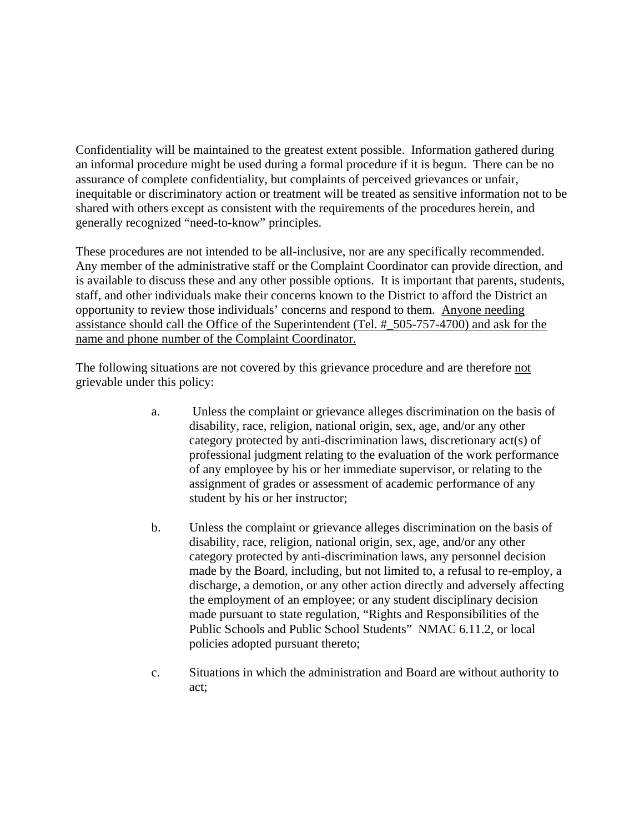Confidentiality will be maintained to the greatest extent possible. Information gathered during an informal procedure might be used during a formal procedure if it is begun. There can be no assurance of complete confidentiality, but complaints of perceived grievances or unfair, inequitable or discriminatory action or treatment will be treated as sensitive information not to be shared with others except as consistent with the requirements of the procedures herein, and generally recognized "need-to-know" principles.

These procedures are not intended to be all-inclusive, nor are any specifically recommended. Any member of the administrative staff or the Complaint Coordinator can provide direction, and is available to discuss these and any other possible options. It is important that parents, students, staff, and other individuals make their concerns known to the District to afford the District an opportunity to review those individuals' concerns and respond to them. Anyone needing assistance should call the Office of the Superintendent (Tel. #\_505-757-4700) and ask for the name and phone number of the Complaint Coordinator.

The following situations are not covered by this grievance procedure and are therefore not grievable under this policy:

- a. Unless the complaint or grievance alleges discrimination on the basis of disability, race, religion, national origin, sex, age, and/or any other category protected by anti-discrimination laws, discretionary act(s) of professional judgment relating to the evaluation of the work performance of any employee by his or her immediate supervisor, or relating to the assignment of grades or assessment of academic performance of any student by his or her instructor;
- b. Unless the complaint or grievance alleges discrimination on the basis of disability, race, religion, national origin, sex, age, and/or any other category protected by anti-discrimination laws, any personnel decision made by the Board, including, but not limited to, a refusal to re-employ, a discharge, a demotion, or any other action directly and adversely affecting the employment of an employee; or any student disciplinary decision made pursuant to state regulation, "Rights and Responsibilities of the Public Schools and Public School Students" NMAC 6.11.2, or local policies adopted pursuant thereto;
- c. Situations in which the administration and Board are without authority to act;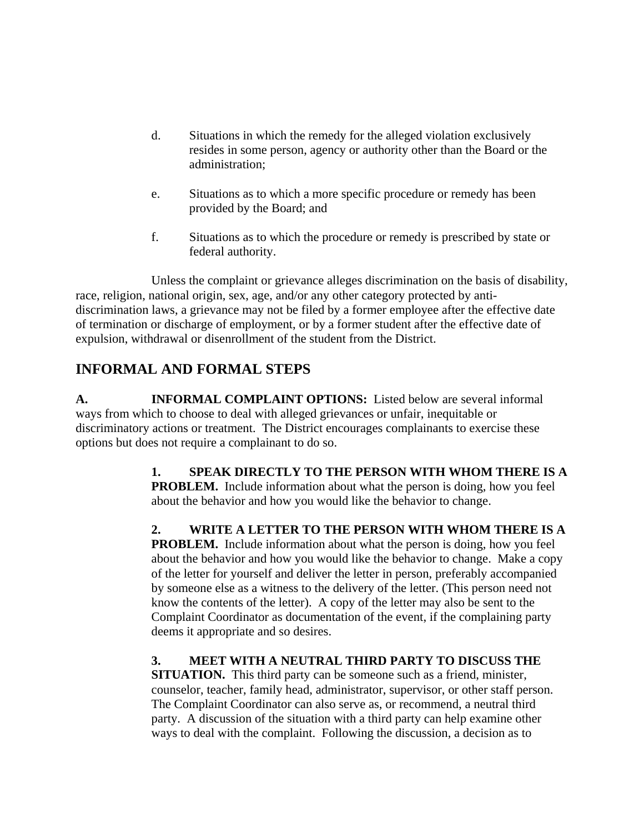- d. Situations in which the remedy for the alleged violation exclusively resides in some person, agency or authority other than the Board or the administration;
- e. Situations as to which a more specific procedure or remedy has been provided by the Board; and
- f. Situations as to which the procedure or remedy is prescribed by state or federal authority.

 Unless the complaint or grievance alleges discrimination on the basis of disability, race, religion, national origin, sex, age, and/or any other category protected by antidiscrimination laws, a grievance may not be filed by a former employee after the effective date of termination or discharge of employment, or by a former student after the effective date of expulsion, withdrawal or disenrollment of the student from the District.

# **INFORMAL AND FORMAL STEPS**

**A. INFORMAL COMPLAINT OPTIONS:** Listed below are several informal ways from which to choose to deal with alleged grievances or unfair, inequitable or discriminatory actions or treatment. The District encourages complainants to exercise these options but does not require a complainant to do so.

> **1. SPEAK DIRECTLY TO THE PERSON WITH WHOM THERE IS A PROBLEM.** Include information about what the person is doing, how you feel about the behavior and how you would like the behavior to change.

> **2. WRITE A LETTER TO THE PERSON WITH WHOM THERE IS A PROBLEM.** Include information about what the person is doing, how you feel about the behavior and how you would like the behavior to change. Make a copy of the letter for yourself and deliver the letter in person, preferably accompanied by someone else as a witness to the delivery of the letter. (This person need not know the contents of the letter). A copy of the letter may also be sent to the Complaint Coordinator as documentation of the event, if the complaining party deems it appropriate and so desires.

## **3. MEET WITH A NEUTRAL THIRD PARTY TO DISCUSS THE**

**SITUATION.** This third party can be someone such as a friend, minister, counselor, teacher, family head, administrator, supervisor, or other staff person. The Complaint Coordinator can also serve as, or recommend, a neutral third party. A discussion of the situation with a third party can help examine other ways to deal with the complaint. Following the discussion, a decision as to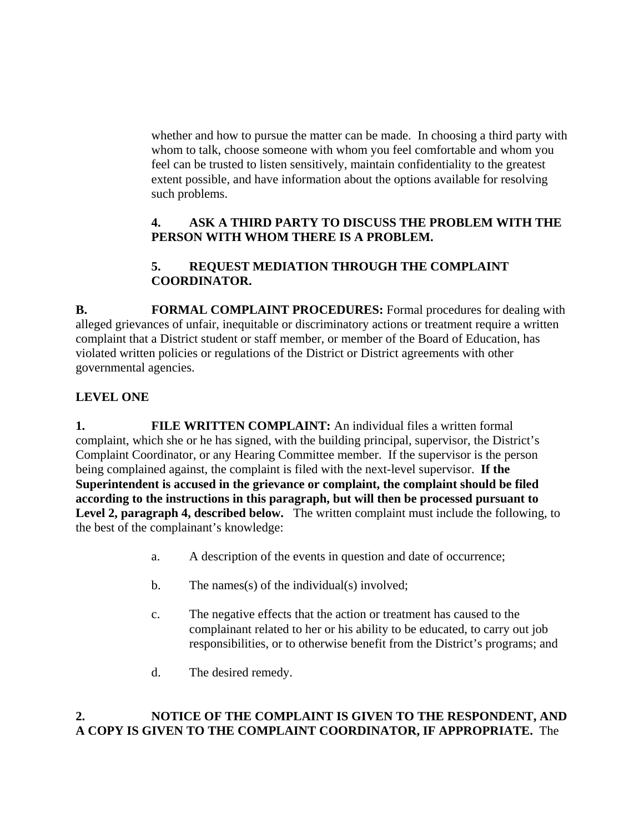whether and how to pursue the matter can be made. In choosing a third party with whom to talk, choose someone with whom you feel comfortable and whom you feel can be trusted to listen sensitively, maintain confidentiality to the greatest extent possible, and have information about the options available for resolving such problems.

#### **4. ASK A THIRD PARTY TO DISCUSS THE PROBLEM WITH THE PERSON WITH WHOM THERE IS A PROBLEM.**

## **5. REQUEST MEDIATION THROUGH THE COMPLAINT COORDINATOR.**

**B.** FORMAL COMPLAINT PROCEDURES: Formal procedures for dealing with alleged grievances of unfair, inequitable or discriminatory actions or treatment require a written complaint that a District student or staff member, or member of the Board of Education, has violated written policies or regulations of the District or District agreements with other governmental agencies.

## **LEVEL ONE**

**1. FILE WRITTEN COMPLAINT:** An individual files a written formal complaint, which she or he has signed, with the building principal, supervisor, the District's Complaint Coordinator, or any Hearing Committee member. If the supervisor is the person being complained against, the complaint is filed with the next-level supervisor. **If the Superintendent is accused in the grievance or complaint, the complaint should be filed according to the instructions in this paragraph, but will then be processed pursuant to Level 2, paragraph 4, described below.** The written complaint must include the following, to the best of the complainant's knowledge:

- a. A description of the events in question and date of occurrence;
- b. The names(s) of the individual(s) involved;
- c. The negative effects that the action or treatment has caused to the complainant related to her or his ability to be educated, to carry out job responsibilities, or to otherwise benefit from the District's programs; and
- d. The desired remedy.

#### **2. NOTICE OF THE COMPLAINT IS GIVEN TO THE RESPONDENT, AND A COPY IS GIVEN TO THE COMPLAINT COORDINATOR, IF APPROPRIATE.** The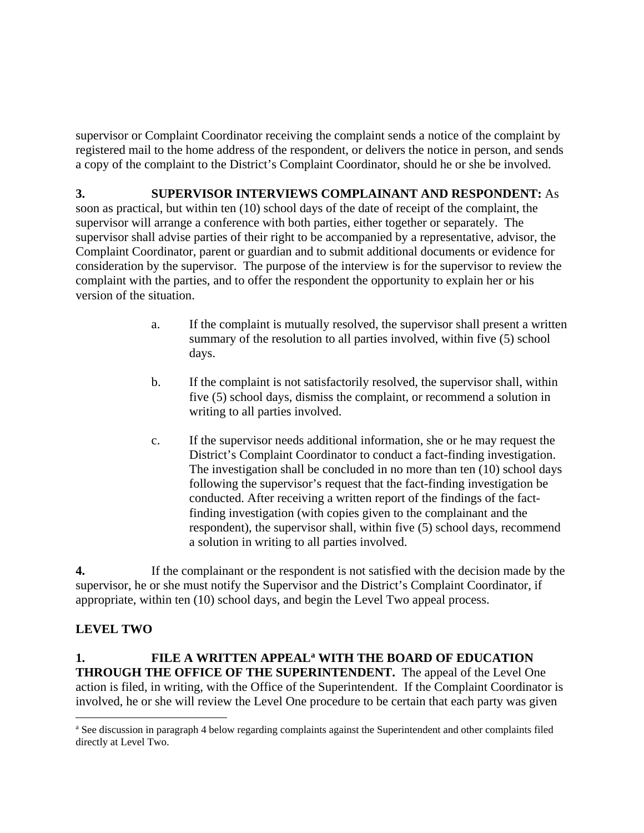supervisor or Complaint Coordinator receiving the complaint sends a notice of the complaint by registered mail to the home address of the respondent, or delivers the notice in person, and sends a copy of the complaint to the District's Complaint Coordinator, should he or she be involved.

**3. SUPERVISOR INTERVIEWS COMPLAINANT AND RESPONDENT:** As soon as practical, but within ten (10) school days of the date of receipt of the complaint, the supervisor will arrange a conference with both parties, either together or separately. The supervisor shall advise parties of their right to be accompanied by a representative, advisor, the Complaint Coordinator, parent or guardian and to submit additional documents or evidence for consideration by the supervisor. The purpose of the interview is for the supervisor to review the complaint with the parties, and to offer the respondent the opportunity to explain her or his version of the situation.

- a. If the complaint is mutually resolved, the supervisor shall present a written summary of the resolution to all parties involved, within five (5) school days.
- b. If the complaint is not satisfactorily resolved, the supervisor shall, within five (5) school days, dismiss the complaint, or recommend a solution in writing to all parties involved.
- c. If the supervisor needs additional information, she or he may request the District's Complaint Coordinator to conduct a fact-finding investigation. The investigation shall be concluded in no more than ten (10) school days following the supervisor's request that the fact-finding investigation be conducted. After receiving a written report of the findings of the factfinding investigation (with copies given to the complainant and the respondent), the supervisor shall, within five (5) school days, recommend a solution in writing to all parties involved.

**4.** If the complainant or the respondent is not satisfied with the decision made by the supervisor, he or she must notify the Supervisor and the District's Complaint Coordinator, if appropriate, within ten (10) school days, and begin the Level Two appeal process.

## **LEVEL TWO**

 $\overline{a}$ 

1. FILE A WRITTEN APPEAL<sup>a</sup> WITH THE BOARD OF EDUCATION **THROUGH THE OFFICE OF THE SUPERINTENDENT.** The appeal of the Level One action is filed, in writing, with the Office of the Superintendent. If the Complaint Coordinator is involved, he or she will review the Level One procedure to be certain that each party was given

a See discussion in paragraph 4 below regarding complaints against the Superintendent and other complaints filed directly at Level Two.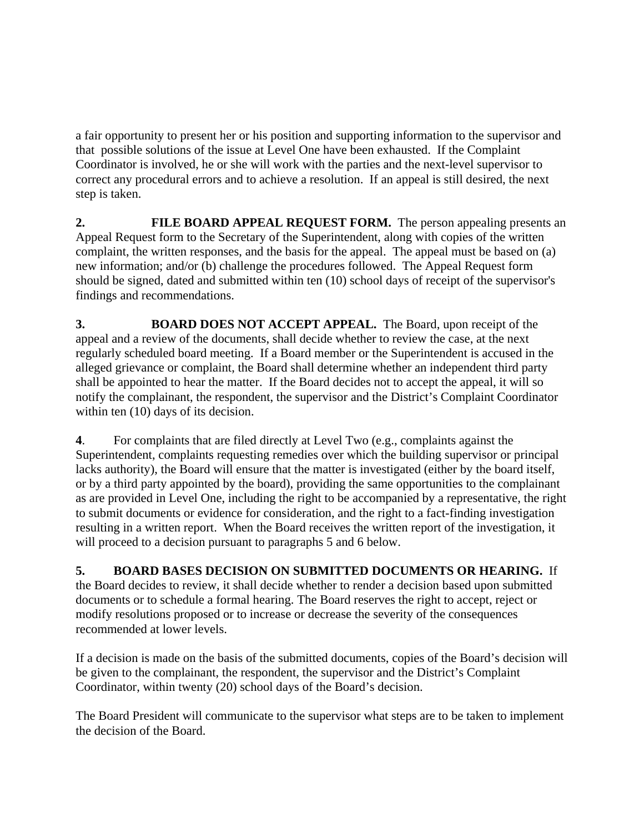a fair opportunity to present her or his position and supporting information to the supervisor and that possible solutions of the issue at Level One have been exhausted. If the Complaint Coordinator is involved, he or she will work with the parties and the next-level supervisor to correct any procedural errors and to achieve a resolution. If an appeal is still desired, the next step is taken.

**2.** FILE BOARD APPEAL REQUEST FORM. The person appealing presents an Appeal Request form to the Secretary of the Superintendent, along with copies of the written complaint, the written responses, and the basis for the appeal. The appeal must be based on (a) new information; and/or (b) challenge the procedures followed. The Appeal Request form should be signed, dated and submitted within ten (10) school days of receipt of the supervisor's findings and recommendations.

**3. BOARD DOES NOT ACCEPT APPEAL.** The Board, upon receipt of the appeal and a review of the documents, shall decide whether to review the case, at the next regularly scheduled board meeting. If a Board member or the Superintendent is accused in the alleged grievance or complaint, the Board shall determine whether an independent third party shall be appointed to hear the matter. If the Board decides not to accept the appeal, it will so notify the complainant, the respondent, the supervisor and the District's Complaint Coordinator within ten (10) days of its decision.

**4**. For complaints that are filed directly at Level Two (e.g., complaints against the Superintendent, complaints requesting remedies over which the building supervisor or principal lacks authority), the Board will ensure that the matter is investigated (either by the board itself, or by a third party appointed by the board), providing the same opportunities to the complainant as are provided in Level One, including the right to be accompanied by a representative, the right to submit documents or evidence for consideration, and the right to a fact-finding investigation resulting in a written report. When the Board receives the written report of the investigation, it will proceed to a decision pursuant to paragraphs 5 and 6 below.

## **5. BOARD BASES DECISION ON SUBMITTED DOCUMENTS OR HEARING.** If

the Board decides to review, it shall decide whether to render a decision based upon submitted documents or to schedule a formal hearing. The Board reserves the right to accept, reject or modify resolutions proposed or to increase or decrease the severity of the consequences recommended at lower levels.

If a decision is made on the basis of the submitted documents, copies of the Board's decision will be given to the complainant, the respondent, the supervisor and the District's Complaint Coordinator, within twenty (20) school days of the Board's decision.

The Board President will communicate to the supervisor what steps are to be taken to implement the decision of the Board.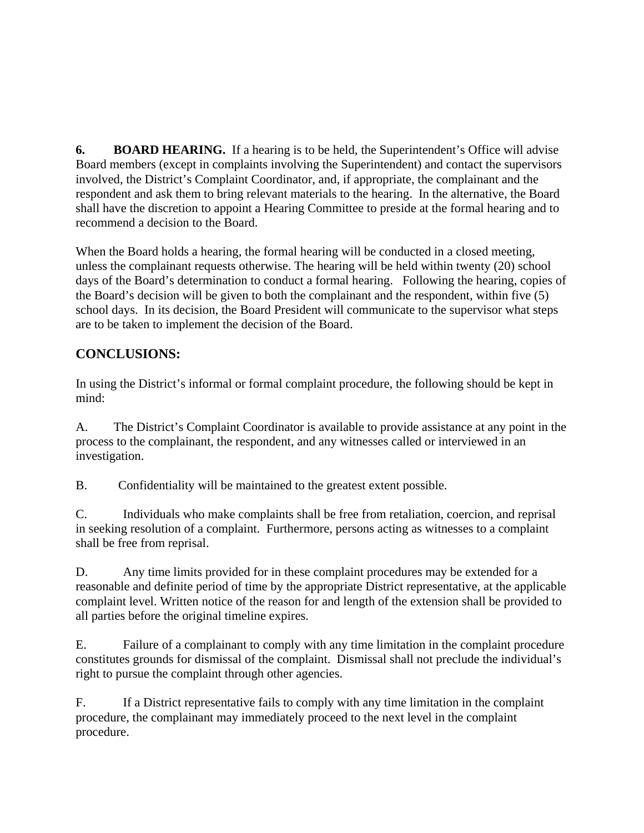**6.** BOARD HEARING. If a hearing is to be held, the Superintendent's Office will advise Board members (except in complaints involving the Superintendent) and contact the supervisors involved, the District's Complaint Coordinator, and, if appropriate, the complainant and the respondent and ask them to bring relevant materials to the hearing. In the alternative, the Board shall have the discretion to appoint a Hearing Committee to preside at the formal hearing and to recommend a decision to the Board.

When the Board holds a hearing, the formal hearing will be conducted in a closed meeting, unless the complainant requests otherwise. The hearing will be held within twenty (20) school days of the Board's determination to conduct a formal hearing. Following the hearing, copies of the Board's decision will be given to both the complainant and the respondent, within five (5) school days. In its decision, the Board President will communicate to the supervisor what steps are to be taken to implement the decision of the Board.

## **CONCLUSIONS:**

In using the District's informal or formal complaint procedure, the following should be kept in mind:

A. The District's Complaint Coordinator is available to provide assistance at any point in the process to the complainant, the respondent, and any witnesses called or interviewed in an investigation.

B. Confidentiality will be maintained to the greatest extent possible.

C. Individuals who make complaints shall be free from retaliation, coercion, and reprisal in seeking resolution of a complaint. Furthermore, persons acting as witnesses to a complaint shall be free from reprisal.

D. Any time limits provided for in these complaint procedures may be extended for a reasonable and definite period of time by the appropriate District representative, at the applicable complaint level. Written notice of the reason for and length of the extension shall be provided to all parties before the original timeline expires.

E. Failure of a complainant to comply with any time limitation in the complaint procedure constitutes grounds for dismissal of the complaint. Dismissal shall not preclude the individual's right to pursue the complaint through other agencies.

F. If a District representative fails to comply with any time limitation in the complaint procedure, the complainant may immediately proceed to the next level in the complaint procedure.